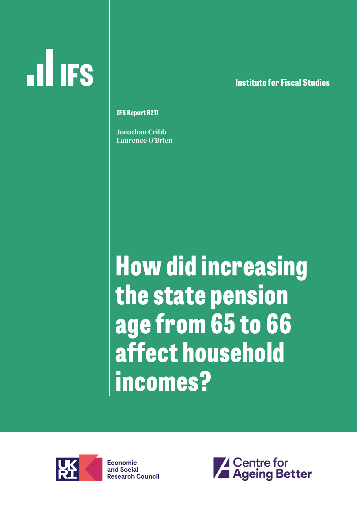# **ILL IFS**

**lnstitute for Fiscal Studies**

**IFS Report R211**

Jonathan Cribb Laurence O'Brien

**How did increasing the state pension age from 65 to 66 affect household incomes?** 



**Economic** and Social **Research Council** 

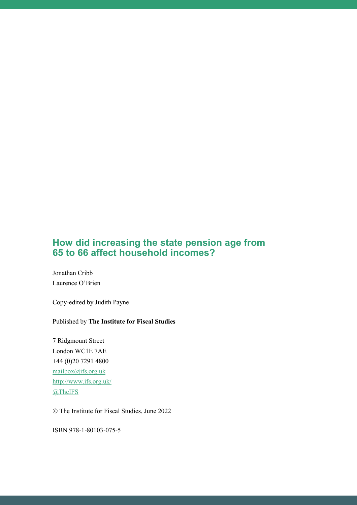#### **How did increasing the state pension age from 65 to 66 affect household incomes?**

Jonathan Cribb Laurence O'Brien

Copy-edited by Judith Payne

#### Published by **The Institute for Fiscal Studies**

7 Ridgmount Street London WC1E 7AE +44 (0)20 7291 4800 [mailbox@ifs.org.uk](mailto:mailbox@ifs.org.uk) <http://www.ifs.org.uk/> [@TheIFS](https://twitter.com/theifs)

The Institute for Fiscal Studies, June 2022

ISBN 978-1-80103-075-5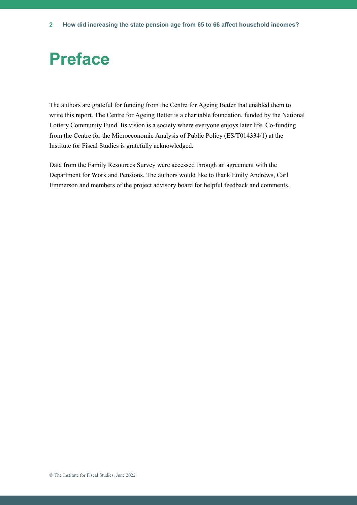# **Preface**

The authors are grateful for funding from the Centre for Ageing Better that enabled them to write this report. The Centre for Ageing Better is a charitable foundation, funded by the National Lottery Community Fund. Its vision is a society where everyone enjoys later life. Co-funding from the Centre for the Microeconomic Analysis of Public Policy (ES/T014334/1) at the Institute for Fiscal Studies is gratefully acknowledged.

Data from the Family Resources Survey were accessed through an agreement with the Department for Work and Pensions. The authors would like to thank Emily Andrews, Carl Emmerson and members of the project advisory board for helpful feedback and comments.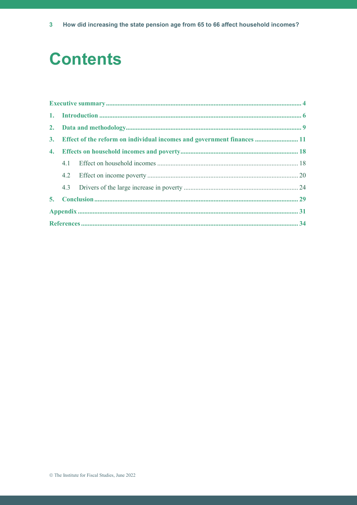# **Contents**

|  | 3. Effect of the reform on individual incomes and government finances  11 |  |  |  |  |  |
|--|---------------------------------------------------------------------------|--|--|--|--|--|
|  |                                                                           |  |  |  |  |  |
|  |                                                                           |  |  |  |  |  |
|  |                                                                           |  |  |  |  |  |
|  |                                                                           |  |  |  |  |  |
|  |                                                                           |  |  |  |  |  |
|  |                                                                           |  |  |  |  |  |
|  |                                                                           |  |  |  |  |  |
|  |                                                                           |  |  |  |  |  |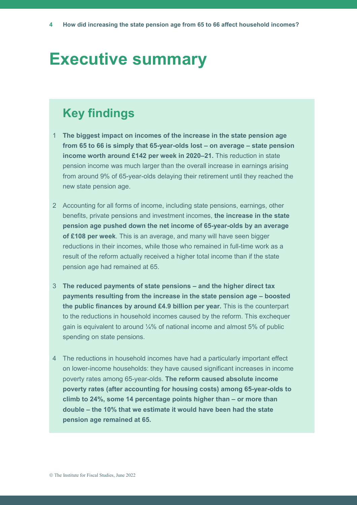## **Executive summary**

## **Key findings**

- 1 **The biggest impact on incomes of the increase in the state pension age from 65 to 66 is simply that 65-year-olds lost – on average – state pension income worth around £142 per week in 2020–21.** This reduction in state pension income was much larger than the overall increase in earnings arising from around 9% of 65-year-olds delaying their retirement until they reached the new state pension age.
- 2 Accounting for all forms of income, including state pensions, earnings, other benefits, private pensions and investment incomes, **the increase in the state pension age pushed down the net income of 65-year-olds by an average of £108 per week**. This is an average, and many will have seen bigger reductions in their incomes, while those who remained in full-time work as a result of the reform actually received a higher total income than if the state pension age had remained at 65.
- 3 **The reduced payments of state pensions – and the higher direct tax payments resulting from the increase in the state pension age – boosted the public finances by around £4.9 billion per year.** This is the counterpart to the reductions in household incomes caused by the reform. This exchequer gain is equivalent to around ¼% of national income and almost 5% of public spending on state pensions.
- 4 The reductions in household incomes have had a particularly important effect on lower-income households: they have caused significant increases in income poverty rates among 65-year-olds. **The reform caused absolute income poverty rates (after accounting for housing costs) among 65-year-olds to climb to 24%, some 14 percentage points higher than – or more than double – the 10% that we estimate it would have been had the state pension age remained at 65.**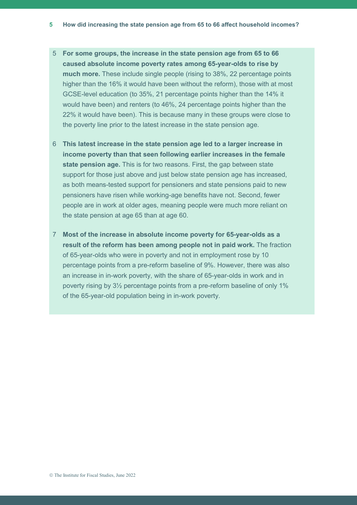- 5 **For some groups, the increase in the state pension age from 65 to 66 caused absolute income poverty rates among 65-year-olds to rise by much more.** These include single people (rising to 38%, 22 percentage points higher than the 16% it would have been without the reform), those with at most GCSE-level education (to 35%, 21 percentage points higher than the 14% it would have been) and renters (to 46%, 24 percentage points higher than the 22% it would have been). This is because many in these groups were close to the poverty line prior to the latest increase in the state pension age.
- 6 **This latest increase in the state pension age led to a larger increase in income poverty than that seen following earlier increases in the female state pension age.** This is for two reasons. First, the gap between state support for those just above and just below state pension age has increased, as both means-tested support for pensioners and state pensions paid to new pensioners have risen while working-age benefits have not. Second, fewer people are in work at older ages, meaning people were much more reliant on the state pension at age 65 than at age 60.
- 7 **Most of the increase in absolute income poverty for 65-year-olds as a result of the reform has been among people not in paid work.** The fraction of 65-year-olds who were in poverty and not in employment rose by 10 percentage points from a pre-reform baseline of 9%. However, there was also an increase in in-work poverty, with the share of 65-year-olds in work and in poverty rising by 3½ percentage points from a pre-reform baseline of only 1% of the 65-year-old population being in in-work poverty.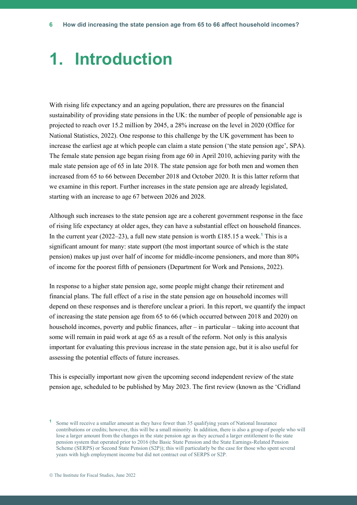## **1. Introduction**

With rising life expectancy and an ageing population, there are pressures on the financial sustainability of providing state pensions in the UK: the number of people of pensionable age is projected to reach over 15.2 million by 2045, a 28% increase on the level in 2020 (Office for National Statistics, 2022). One response to this challenge by the UK government has been to increase the earliest age at which people can claim a state pension ('the state pension age', SPA). The female state pension age began rising from age 60 in April 2010, achieving parity with the male state pension age of 65 in late 2018. The state pension age for both men and women then increased from 65 to 66 between December 2018 and October 2020. It is this latter reform that we examine in this report. Further increases in the state pension age are already legislated, starting with an increase to age 67 between 2026 and 2028.

Although such increases to the state pension age are a coherent government response in the face of rising life expectancy at older ages, they can have a substantial effect on household finances. In the current year (2022–23), a full new state pension is worth £185.15 a week. **<sup>1</sup>** This is a significant amount for many: state support (the most important source of which is the state pension) makes up just over half of income for middle-income pensioners, and more than 80% of income for the poorest fifth of pensioners (Department for Work and Pensions, 2022).

In response to a higher state pension age, some people might change their retirement and financial plans. The full effect of a rise in the state pension age on household incomes will depend on these responses and is therefore unclear a priori. In this report, we quantify the impact of increasing the state pension age from 65 to 66 (which occurred between 2018 and 2020) on household incomes, poverty and public finances, after – in particular – taking into account that some will remain in paid work at age 65 as a result of the reform. Not only is this analysis important for evaluating this previous increase in the state pension age, but it is also useful for assessing the potential effects of future increases.

This is especially important now given the upcoming second independent review of the state pension age, scheduled to be published by May 2023. The first review (known as the 'Cridland

**<sup>1</sup>** Some will receive a smaller amount as they have fewer than 35 qualifying years of National Insurance contributions or credits; however, this will be a small minority. In addition, there is also a group of people who will lose a larger amount from the changes in the state pension age as they accrued a larger entitlement to the state pension system that operated prior to 2016 (the Basic State Pension and the State Earnings-Related Pension Scheme (SERPS) or Second State Pension (S2P)); this will particularly be the case for those who spent several years with high employment income but did not contract out of SERPS or S2P.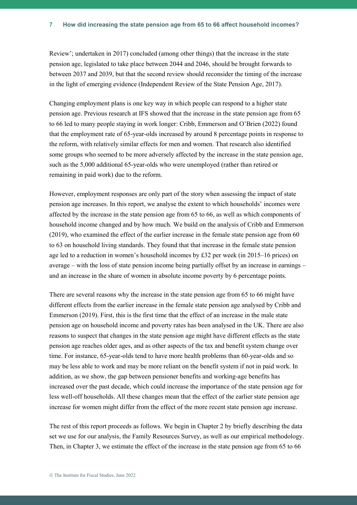Review'; undertaken in 2017) concluded (among other things) that the increase in the state pension age, legislated to take place between 2044 and 2046, should be brought forwards to between 2037 and 2039, but that the second review should reconsider the timing of the increase in the light of emerging evidence (Independent Review of the State Pension Age, 2017).

Changing employment plans is one key way in which people can respond to a higher state pension age. Previous research at IFS showed that the increase in the state pension age from 65 to 66 led to many people staying in work longer: Cribb, Emmerson and O'Brien (2022) found that the employment rate of 65-year-olds increased by around 8 percentage points in response to the reform, with relatively similar effects for men and women. That research also identified some groups who seemed to be more adversely affected by the increase in the state pension age, such as the 5,000 additional 65-year-olds who were unemployed (rather than retired or remaining in paid work) due to the reform.

However, employment responses are only part of the story when assessing the impact of state pension age increases. In this report, we analyse the extent to which households' incomes were affected by the increase in the state pension age from 65 to 66, as well as which components of household income changed and by how much. We build on the analysis of Cribb and Emmerson (2019), who examined the effect of the earlier increase in the female state pension age from 60 to 63 on household living standards. They found that that increase in the female state pension age led to a reduction in women's household incomes by £32 per week (in 2015–16 prices) on average – with the loss of state pension income being partially offset by an increase in earnings – and an increase in the share of women in absolute income poverty by 6 percentage points.

There are several reasons why the increase in the state pension age from 65 to 66 might have different effects from the earlier increase in the female state pension age analysed by Cribb and Emmerson (2019). First, this is the first time that the effect of an increase in the male state pension age on household income and poverty rates has been analysed in the UK. There are also reasons to suspect that changes in the state pension age might have different effects as the state pension age reaches older ages, and as other aspects of the tax and benefit system change over time. For instance, 65-year-olds tend to have more health problems than 60-year-olds and so may be less able to work and may be more reliant on the benefit system if not in paid work. In addition, as we show, the gap between pensioner benefits and working-age benefits has increased over the past decade, which could increase the importance of the state pension age for less well-off households. All these changes mean that the effect of the earlier state pension age increase for women might differ from the effect of the more recent state pension age increase.

The rest of this report proceeds as follows. We begin in Chapter 2 by briefly describing the data set we use for our analysis, the Family Resources Survey, as well as our empirical methodology. Then, in Chapter 3, we estimate the effect of the increase in the state pension age from 65 to 66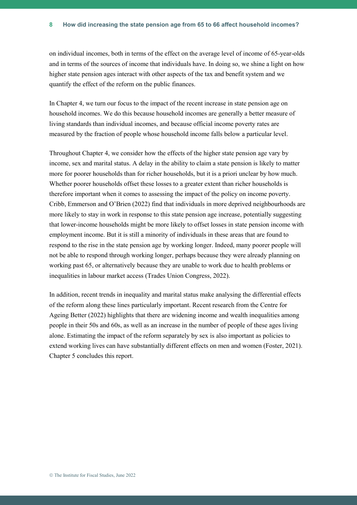on individual incomes, both in terms of the effect on the average level of income of 65-year-olds and in terms of the sources of income that individuals have. In doing so, we shine a light on how higher state pension ages interact with other aspects of the tax and benefit system and we quantify the effect of the reform on the public finances.

In Chapter 4, we turn our focus to the impact of the recent increase in state pension age on household incomes. We do this because household incomes are generally a better measure of living standards than individual incomes, and because official income poverty rates are measured by the fraction of people whose household income falls below a particular level.

Throughout Chapter 4, we consider how the effects of the higher state pension age vary by income, sex and marital status. A delay in the ability to claim a state pension is likely to matter more for poorer households than for richer households, but it is a priori unclear by how much. Whether poorer households offset these losses to a greater extent than richer households is therefore important when it comes to assessing the impact of the policy on income poverty. Cribb, Emmerson and O'Brien (2022) find that individuals in more deprived neighbourhoods are more likely to stay in work in response to this state pension age increase, potentially suggesting that lower-income households might be more likely to offset losses in state pension income with employment income. But it is still a minority of individuals in these areas that are found to respond to the rise in the state pension age by working longer. Indeed, many poorer people will not be able to respond through working longer, perhaps because they were already planning on working past 65, or alternatively because they are unable to work due to health problems or inequalities in labour market access (Trades Union Congress, 2022).

In addition, recent trends in inequality and marital status make analysing the differential effects of the reform along these lines particularly important. Recent research from the Centre for Ageing Better (2022) highlights that there are widening income and wealth inequalities among people in their 50s and 60s, as well as an increase in the number of people of these ages living alone. Estimating the impact of the reform separately by sex is also important as policies to extend working lives can have substantially different effects on men and women (Foster, 2021). Chapter 5 concludes this report.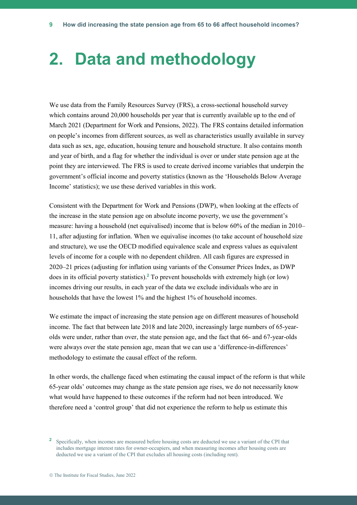## **2. Data and methodology**

We use data from the Family Resources Survey (FRS), a cross-sectional household survey which contains around 20,000 households per year that is currently available up to the end of March 2021 (Department for Work and Pensions, 2022). The FRS contains detailed information on people's incomes from different sources, as well as characteristics usually available in survey data such as sex, age, education, housing tenure and household structure. It also contains month and year of birth, and a flag for whether the individual is over or under state pension age at the point they are interviewed. The FRS is used to create derived income variables that underpin the government's official income and poverty statistics (known as the 'Households Below Average Income' statistics); we use these derived variables in this work.

Consistent with the Department for Work and Pensions (DWP), when looking at the effects of the increase in the state pension age on absolute income poverty, we use the government's measure: having a household (net equivalised) income that is below 60% of the median in 2010– 11, after adjusting for inflation. When we equivalise incomes (to take account of household size and structure), we use the OECD modified equivalence scale and express values as equivalent levels of income for a couple with no dependent children. All cash figures are expressed in 2020–21 prices (adjusting for inflation using variants of the Consumer Prices Index, as DWP does in its official poverty statistics). **<sup>2</sup>** To prevent households with extremely high (or low) incomes driving our results, in each year of the data we exclude individuals who are in households that have the lowest 1% and the highest 1% of household incomes.

We estimate the impact of increasing the state pension age on different measures of household income. The fact that between late 2018 and late 2020, increasingly large numbers of 65-yearolds were under, rather than over, the state pension age, and the fact that 66- and 67-year-olds were always over the state pension age, mean that we can use a 'difference-in-differences' methodology to estimate the causal effect of the reform.

In other words, the challenge faced when estimating the causal impact of the reform is that while 65-year olds' outcomes may change as the state pension age rises, we do not necessarily know what would have happened to these outcomes if the reform had not been introduced. We therefore need a 'control group' that did not experience the reform to help us estimate this

<sup>&</sup>lt;sup>2</sup> Specifically, when incomes are measured before housing costs are deducted we use a variant of the CPI that includes mortgage interest rates for owner-occupiers, and when measuring incomes after housing costs are deducted we use a variant of the CPI that excludes all housing costs (including rent).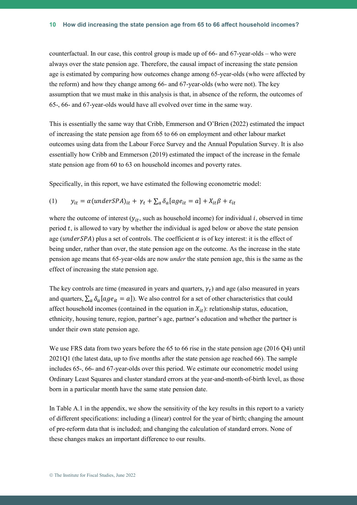counterfactual. In our case, this control group is made up of 66- and 67-year-olds – who were always over the state pension age. Therefore, the causal impact of increasing the state pension age is estimated by comparing how outcomes change among 65-year-olds (who were affected by the reform) and how they change among 66- and 67-year-olds (who were not). The key assumption that we must make in this analysis is that, in absence of the reform, the outcomes of 65-, 66- and 67-year-olds would have all evolved over time in the same way.

This is essentially the same way that Cribb, Emmerson and O'Brien (2022) estimated the impact of increasing the state pension age from 65 to 66 on employment and other labour market outcomes using data from the Labour Force Survey and the Annual Population Survey. It is also essentially how Cribb and Emmerson (2019) estimated the impact of the increase in the female state pension age from 60 to 63 on household incomes and poverty rates.

Specifically, in this report, we have estimated the following econometric model:

(1) 
$$
y_{it} = \alpha (under SPA)_{it} + \gamma_t + \sum_a \delta_a [age_{it} = a] + X_{it}\beta + \varepsilon_{it}
$$

where the outcome of interest  $(y_{it}$ , such as household income) for individual *i*, observed in time period  $t$ , is allowed to vary by whether the individual is aged below or above the state pension age (under SPA) plus a set of controls. The coefficient  $\alpha$  is of key interest: it is the effect of being under, rather than over, the state pension age on the outcome. As the increase in the state pension age means that 65-year-olds are now *under* the state pension age, this is the same as the effect of increasing the state pension age.

The key controls are time (measured in years and quarters,  $\gamma_t$ ) and age (also measured in years and quarters,  $\sum_a \delta_a [age_{it} = a]$ ). We also control for a set of other characteristics that could affect household incomes (contained in the equation in  $X_{it}$ ): relationship status, education, ethnicity, housing tenure, region, partner's age, partner's education and whether the partner is under their own state pension age.

We use FRS data from two years before the 65 to 66 rise in the state pension age (2016 Q4) until 2021Q1 (the latest data, up to five months after the state pension age reached 66). The sample includes 65-, 66- and 67-year-olds over this period. We estimate our econometric model using Ordinary Least Squares and cluster standard errors at the year-and-month-of-birth level, as those born in a particular month have the same state pension date.

In Table A.1 in the appendix, we show the sensitivity of the key results in this report to a variety of different specifications: including a (linear) control for the year of birth; changing the amount of pre-reform data that is included; and changing the calculation of standard errors. None of these changes makes an important difference to our results.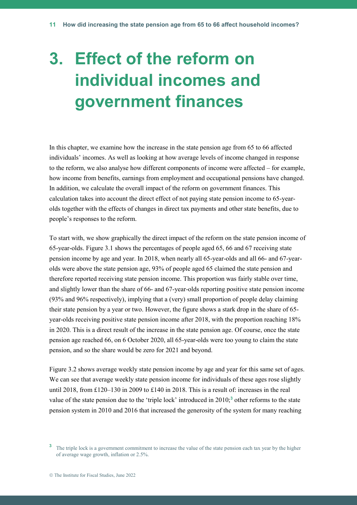# **3. Effect of the reform on individual incomes and government finances**

In this chapter, we examine how the increase in the state pension age from 65 to 66 affected individuals' incomes. As well as looking at how average levels of income changed in response to the reform, we also analyse how different components of income were affected – for example, how income from benefits, earnings from employment and occupational pensions have changed. In addition, we calculate the overall impact of the reform on government finances. This calculation takes into account the direct effect of not paying state pension income to 65-yearolds together with the effects of changes in direct tax payments and other state benefits, due to people's responses to the reform.

To start with, we show graphically the direct impact of the reform on the state pension income of 65-year-olds. Figure 3.1 shows the percentages of people aged 65, 66 and 67 receiving state pension income by age and year. In 2018, when nearly all 65-year-olds and all 66- and 67-yearolds were above the state pension age, 93% of people aged 65 claimed the state pension and therefore reported receiving state pension income. This proportion was fairly stable over time, and slightly lower than the share of 66- and 67-year-olds reporting positive state pension income (93% and 96% respectively), implying that a (very) small proportion of people delay claiming their state pension by a year or two. However, the figure shows a stark drop in the share of 65 year-olds receiving positive state pension income after 2018, with the proportion reaching 18% in 2020. This is a direct result of the increase in the state pension age. Of course, once the state pension age reached 66, on 6 October 2020, all 65-year-olds were too young to claim the state pension, and so the share would be zero for 2021 and beyond.

Figure 3.2 shows average weekly state pension income by age and year for this same set of ages. We can see that average weekly state pension income for individuals of these ages rose slightly until 2018, from £120–130 in 2009 to £140 in 2018. This is a result of: increases in the real value of the state pension due to the 'triple lock' introduced in 2010;**<sup>3</sup>** other reforms to the state pension system in 2010 and 2016 that increased the generosity of the system for many reaching

<sup>&</sup>lt;sup>3</sup> The triple lock is a government commitment to increase the value of the state pension each tax year by the higher of average wage growth, inflation or 2.5%.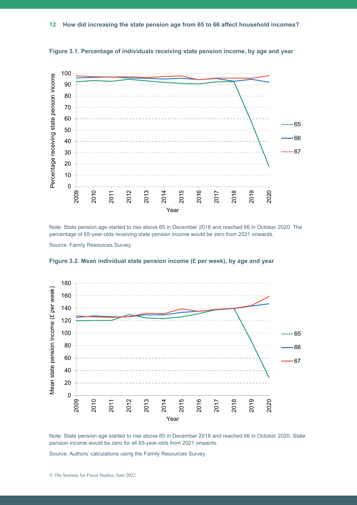

**Figure 3.1. Percentage of individuals receiving state pension income, by age and year**

Note: State pension age started to rise above 65 in December 2018 and reached 66 in October 2020. The percentage of 65-year-olds receiving state pension income would be zero from 2021 onwards.

Source: Family Resources Survey.



**Figure 3.2. Mean individual state pension income (£ per week), by age and year**

Note: State pension age started to rise above 65 in December 2018 and reached 66 in October 2020. State pension income would be zero for all 65-year-olds from 2021 onwards.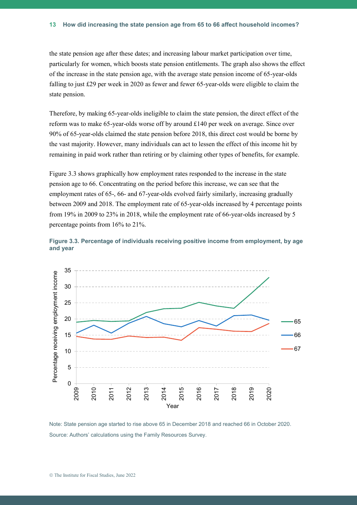the state pension age after these dates; and increasing labour market participation over time, particularly for women, which boosts state pension entitlements. The graph also shows the effect of the increase in the state pension age, with the average state pension income of 65-year-olds falling to just £29 per week in 2020 as fewer and fewer 65-year-olds were eligible to claim the state pension.

Therefore, by making 65-year-olds ineligible to claim the state pension, the direct effect of the reform was to make 65-year-olds worse off by around £140 per week on average. Since over 90% of 65-year-olds claimed the state pension before 2018, this direct cost would be borne by the vast majority. However, many individuals can act to lessen the effect of this income hit by remaining in paid work rather than retiring or by claiming other types of benefits, for example.

Figure 3.3 shows graphically how employment rates responded to the increase in the state pension age to 66. Concentrating on the period before this increase, we can see that the employment rates of 65-, 66- and 67-year-olds evolved fairly similarly, increasing gradually between 2009 and 2018. The employment rate of 65-year-olds increased by 4 percentage points from 19% in 2009 to 23% in 2018, while the employment rate of 66-year-olds increased by 5 percentage points from 16% to 21%.





Note: State pension age started to rise above 65 in December 2018 and reached 66 in October 2020. Source: Authors' calculations using the Family Resources Survey.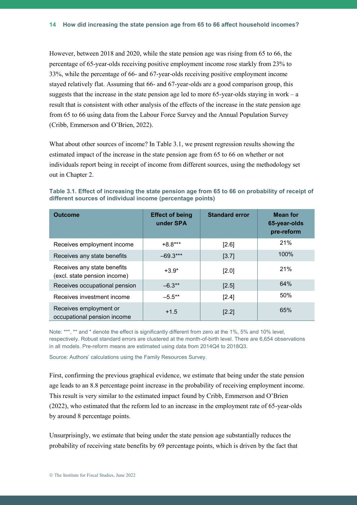However, between 2018 and 2020, while the state pension age was rising from 65 to 66, the percentage of 65-year-olds receiving positive employment income rose starkly from 23% to 33%, while the percentage of 66- and 67-year-olds receiving positive employment income stayed relatively flat. Assuming that 66- and 67-year-olds are a good comparison group, this suggests that the increase in the state pension age led to more 65-year-olds staying in work – a result that is consistent with other analysis of the effects of the increase in the state pension age from 65 to 66 using data from the Labour Force Survey and the Annual Population Survey (Cribb, Emmerson and O'Brien, 2022).

What about other sources of income? In Table 3.1, we present regression results showing the estimated impact of the increase in the state pension age from 65 to 66 on whether or not individuals report being in receipt of income from different sources, using the methodology set out in Chapter 2.

**Table 3.1. Effect of increasing the state pension age from 65 to 66 on probability of receipt of different sources of individual income (percentage points)**

| <b>Outcome</b>                                              | <b>Effect of being</b><br>under SPA | <b>Standard error</b> | <b>Mean for</b><br>65-year-olds<br>pre-reform |
|-------------------------------------------------------------|-------------------------------------|-----------------------|-----------------------------------------------|
| Receives employment income                                  | $+8.8***$                           | [2.6]                 | 21%                                           |
| Receives any state benefits                                 | $-69.3***$                          | [3.7]                 | 100%                                          |
| Receives any state benefits<br>(excl. state pension income) | $+3.9*$                             | $[2.0]$               | 21%                                           |
| Receives occupational pension                               | $-6.3**$                            | [2.5]                 | 64%                                           |
| Receives investment income                                  | $-5.5***$                           | [2.4]                 | 50%                                           |
| Receives employment or<br>occupational pension income       | $+1.5$                              | [2.2]                 | 65%                                           |

Note: \*\*\*, \*\* and \* denote the effect is significantly different from zero at the 1%, 5% and 10% level, respectively. Robust standard errors are clustered at the month-of-birth level. There are 6,654 observations in all models. Pre-reform means are estimated using data from 2014Q4 to 2018Q3.

Source: Authors' calculations using the Family Resources Survey.

First, confirming the previous graphical evidence, we estimate that being under the state pension age leads to an 8.8 percentage point increase in the probability of receiving employment income. This result is very similar to the estimated impact found by Cribb, Emmerson and O'Brien (2022), who estimated that the reform led to an increase in the employment rate of 65-year-olds by around 8 percentage points.

Unsurprisingly, we estimate that being under the state pension age substantially reduces the probability of receiving state benefits by 69 percentage points, which is driven by the fact that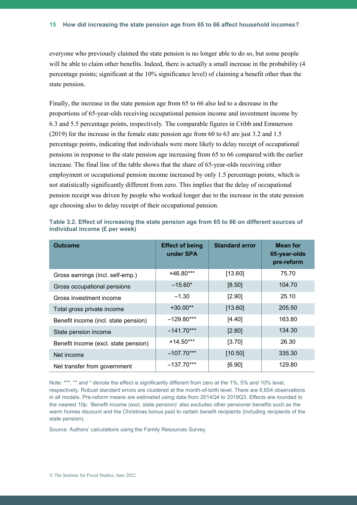everyone who previously claimed the state pension is no longer able to do so, but some people will be able to claim other benefits. Indeed, there is actually a small increase in the probability (4 percentage points; significant at the 10% significance level) of claiming a benefit other than the state pension.

Finally, the increase in the state pension age from 65 to 66 also led to a decrease in the proportions of 65-year-olds receiving occupational pension income and investment income by 6.3 and 5.5 percentage points, respectively. The comparable figures in Cribb and Emmerson (2019) for the increase in the female state pension age from 60 to 63 are just 3.2 and 1.5 percentage points, indicating that individuals were more likely to delay receipt of occupational pensions in response to the state pension age increasing from 65 to 66 compared with the earlier increase. The final line of the table shows that the share of 65-year-olds receiving either employment or occupational pension income increased by only 1.5 percentage points, which is not statistically significantly different from zero. This implies that the delay of occupational pension receipt was driven by people who worked longer due to the increase in the state pension age choosing also to delay receipt of their occupational pension.

| <b>Outcome</b>                       | <b>Effect of being</b><br>under SPA | <b>Standard error</b> | <b>Mean for</b><br>65-year-olds<br>pre-reform |  |
|--------------------------------------|-------------------------------------|-----------------------|-----------------------------------------------|--|
| Gross earnings (incl. self-emp.)     | $+46.80***$                         | [13.60]               | 75.70                                         |  |
| Gross occupational pensions          | $-15.60*$                           | [8.50]                | 104.70                                        |  |
| Gross investment income              | $-1.30$                             | [2.90]                | 25.10                                         |  |
| Total gross private income           | $+30.00**$                          | [13.60]               | 205.50                                        |  |
| Benefit income (incl. state pension) | $-129.80***$                        | [4.40]                | 163.80                                        |  |
| State pension income                 | $-141.70***$                        | [2.80]                | 134.30                                        |  |
| Benefit income (excl. state pension) | $+14.50***$                         | [3.70]                | 26.30                                         |  |
| Net income                           | $-107.70***$                        | [10.50]               | 335.30                                        |  |
| Net transfer from government         | $-137.70***$                        | [6.90]                | 129.80                                        |  |

|  | Table 3.2. Effect of increasing the state pension age from 65 to 66 on different sources of |  |  |  |  |  |  |
|--|---------------------------------------------------------------------------------------------|--|--|--|--|--|--|
|  | individual income (£ per week)                                                              |  |  |  |  |  |  |

Note: \*\*\*, \*\* and \* denote the effect is significantly different from zero at the 1%, 5% and 10% level, respectively. Robust standard errors are clustered at the month-of-birth level. There are 6,654 observations in all models. Pre-reform means are estimated using data from 2014Q4 to 2018Q3. Effects are rounded to the nearest 10p. 'Benefit income (excl. state pension)' also excludes other pensioner benefits such as the warm homes discount and the Christmas bonus paid to certain benefit recipients (including recipients of the state pension).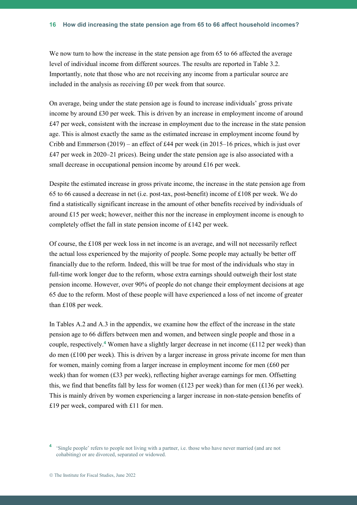We now turn to how the increase in the state pension age from 65 to 66 affected the average level of individual income from different sources. The results are reported in Table 3.2. Importantly, note that those who are not receiving any income from a particular source are included in the analysis as receiving £0 per week from that source.

On average, being under the state pension age is found to increase individuals' gross private income by around £30 per week. This is driven by an increase in employment income of around £47 per week, consistent with the increase in employment due to the increase in the state pension age. This is almost exactly the same as the estimated increase in employment income found by Cribb and Emmerson (2019) – an effect of £44 per week (in 2015–16 prices, which is just over £47 per week in 2020–21 prices). Being under the state pension age is also associated with a small decrease in occupational pension income by around £16 per week.

Despite the estimated increase in gross private income, the increase in the state pension age from 65 to 66 caused a decrease in net (i.e. post-tax, post-benefit) income of £108 per week. We do find a statistically significant increase in the amount of other benefits received by individuals of around  $£15$  per week; however, neither this nor the increase in employment income is enough to completely offset the fall in state pension income of £142 per week.

Of course, the £108 per week loss in net income is an average, and will not necessarily reflect the actual loss experienced by the majority of people. Some people may actually be better off financially due to the reform. Indeed, this will be true for most of the individuals who stay in full-time work longer due to the reform, whose extra earnings should outweigh their lost state pension income. However, over 90% of people do not change their employment decisions at age 65 due to the reform. Most of these people will have experienced a loss of net income of greater than £108 per week.

In Tables A.2 and A.3 in the appendix, we examine how the effect of the increase in the state pension age to 66 differs between men and women, and between single people and those in a couple, respectively. **<sup>4</sup>** Women have a slightly larger decrease in net income (£112 per week) than do men  $(\text{\textsterling}100 \text{ per week})$ . This is driven by a larger increase in gross private income for men than for women, mainly coming from a larger increase in employment income for men (£60 per week) than for women  $(£33$  per week), reflecting higher average earnings for men. Offsetting this, we find that benefits fall by less for women (£123 per week) than for men (£136 per week). This is mainly driven by women experiencing a larger increase in non-state-pension benefits of £19 per week, compared with £11 for men.

<sup>&</sup>lt;sup>4</sup> 'Single people' refers to people not living with a partner, i.e. those who have never married (and are not cohabiting) or are divorced, separated or widowed.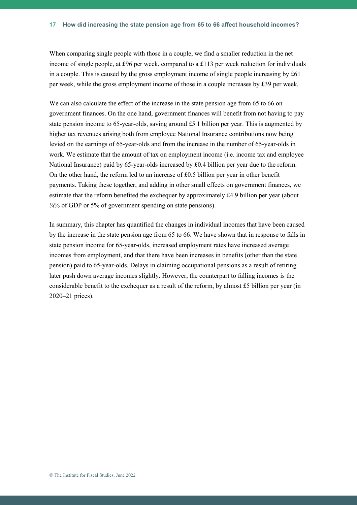When comparing single people with those in a couple, we find a smaller reduction in the net income of single people, at £96 per week, compared to a £113 per week reduction for individuals in a couple. This is caused by the gross employment income of single people increasing by  $\text{\pounds}61$ per week, while the gross employment income of those in a couple increases by £39 per week.

We can also calculate the effect of the increase in the state pension age from 65 to 66 on government finances. On the one hand, government finances will benefit from not having to pay state pension income to 65-year-olds, saving around £5.1 billion per year. This is augmented by higher tax revenues arising both from employee National Insurance contributions now being levied on the earnings of 65-year-olds and from the increase in the number of 65-year-olds in work. We estimate that the amount of tax on employment income (i.e. income tax and employee National Insurance) paid by 65-year-olds increased by £0.4 billion per year due to the reform. On the other hand, the reform led to an increase of  $£0.5$  billion per year in other benefit payments. Taking these together, and adding in other small effects on government finances, we estimate that the reform benefited the exchequer by approximately £4.9 billion per year (about  $\frac{1}{4}\%$  of GDP or 5% of government spending on state pensions).

In summary, this chapter has quantified the changes in individual incomes that have been caused by the increase in the state pension age from 65 to 66. We have shown that in response to falls in state pension income for 65-year-olds, increased employment rates have increased average incomes from employment, and that there have been increases in benefits (other than the state pension) paid to 65-year-olds. Delays in claiming occupational pensions as a result of retiring later push down average incomes slightly. However, the counterpart to falling incomes is the considerable benefit to the exchequer as a result of the reform, by almost £5 billion per year (in 2020–21 prices).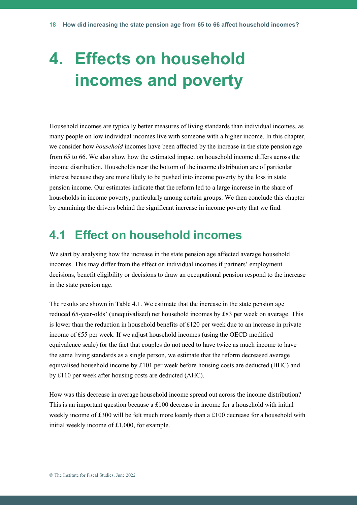# **4. Effects on household incomes and poverty**

Household incomes are typically better measures of living standards than individual incomes, as many people on low individual incomes live with someone with a higher income. In this chapter, we consider how *household* incomes have been affected by the increase in the state pension age from 65 to 66. We also show how the estimated impact on household income differs across the income distribution. Households near the bottom of the income distribution are of particular interest because they are more likely to be pushed into income poverty by the loss in state pension income. Our estimates indicate that the reform led to a large increase in the share of households in income poverty, particularly among certain groups. We then conclude this chapter by examining the drivers behind the significant increase in income poverty that we find.

## **4.1 Effect on household incomes**

We start by analysing how the increase in the state pension age affected average household incomes. This may differ from the effect on individual incomes if partners' employment decisions, benefit eligibility or decisions to draw an occupational pension respond to the increase in the state pension age.

The results are shown in Table 4.1. We estimate that the increase in the state pension age reduced 65-year-olds' (unequivalised) net household incomes by £83 per week on average. This is lower than the reduction in household benefits of £120 per week due to an increase in private income of £55 per week. If we adjust household incomes (using the OECD modified equivalence scale) for the fact that couples do not need to have twice as much income to have the same living standards as a single person, we estimate that the reform decreased average equivalised household income by  $\pounds 101$  per week before housing costs are deducted (BHC) and by £110 per week after housing costs are deducted (AHC).

How was this decrease in average household income spread out across the income distribution? This is an important question because a  $\pounds 100$  decrease in income for a household with initial weekly income of £300 will be felt much more keenly than a £100 decrease for a household with initial weekly income of £1,000, for example.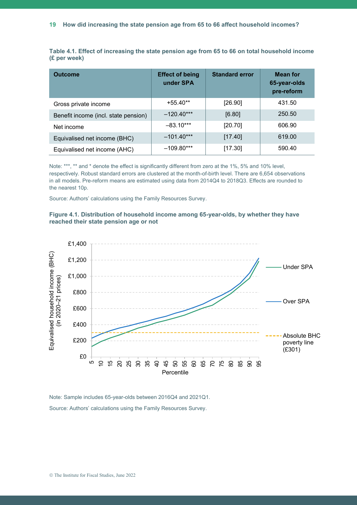**Table 4.1. Effect of increasing the state pension age from 65 to 66 on total household income (£ per week)**

| <b>Outcome</b>                       | <b>Effect of being</b><br>under SPA | <b>Standard error</b> | <b>Mean for</b><br>65-year-olds<br>pre-reform |
|--------------------------------------|-------------------------------------|-----------------------|-----------------------------------------------|
| Gross private income                 | $+55.40**$                          | [26.90]               | 431.50                                        |
| Benefit income (incl. state pension) | $-120.40***$                        | [6.80]                | 250.50                                        |
| Net income                           | $-83.10***$                         | [20.70]               | 606.90                                        |
| Equivalised net income (BHC)         | $-101.40***$                        | [17.40]               | 619.00                                        |
| Equivalised net income (AHC)         | $-109.80***$                        | [17.30]               | 590.40                                        |

Note: \*\*\*, \*\* and \* denote the effect is significantly different from zero at the 1%, 5% and 10% level, respectively. Robust standard errors are clustered at the month-of-birth level. There are 6,654 observations in all models. Pre-reform means are estimated using data from 2014Q4 to 2018Q3. Effects are rounded to the nearest 10p.

Source: Authors' calculations using the Family Resources Survey.





Note: Sample includes 65-year-olds between 2016Q4 and 2021Q1. Source: Authors' calculations using the Family Resources Survey.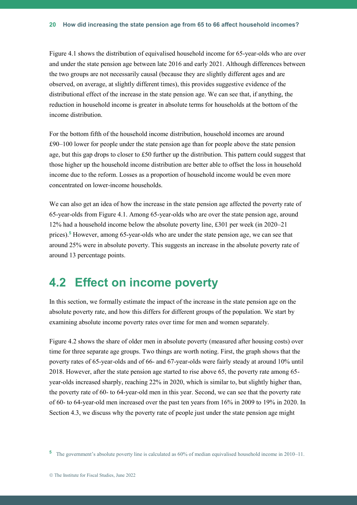Figure 4.1 shows the distribution of equivalised household income for 65-year-olds who are over and under the state pension age between late 2016 and early 2021. Although differences between the two groups are not necessarily causal (because they are slightly different ages and are observed, on average, at slightly different times), this provides suggestive evidence of the distributional effect of the increase in the state pension age. We can see that, if anything, the reduction in household income is greater in absolute terms for households at the bottom of the income distribution.

For the bottom fifth of the household income distribution, household incomes are around £90–100 lower for people under the state pension age than for people above the state pension age, but this gap drops to closer to £50 further up the distribution. This pattern could suggest that those higher up the household income distribution are better able to offset the loss in household income due to the reform. Losses as a proportion of household income would be even more concentrated on lower-income households.

We can also get an idea of how the increase in the state pension age affected the poverty rate of 65-year-olds from Figure 4.1. Among 65-year-olds who are over the state pension age, around 12% had a household income below the absolute poverty line, £301 per week (in 2020–21 prices).**<sup>5</sup>** However, among 65-year-olds who are under the state pension age, we can see that around 25% were in absolute poverty. This suggests an increase in the absolute poverty rate of around 13 percentage points.

## **4.2 Effect on income poverty**

In this section, we formally estimate the impact of the increase in the state pension age on the absolute poverty rate, and how this differs for different groups of the population. We start by examining absolute income poverty rates over time for men and women separately.

Figure 4.2 shows the share of older men in absolute poverty (measured after housing costs) over time for three separate age groups. Two things are worth noting. First, the graph shows that the poverty rates of 65-year-olds and of 66- and 67-year-olds were fairly steady at around 10% until 2018. However, after the state pension age started to rise above 65, the poverty rate among 65 year-olds increased sharply, reaching 22% in 2020, which is similar to, but slightly higher than, the poverty rate of 60- to 64-year-old men in this year. Second, we can see that the poverty rate of 60- to 64-year-old men increased over the past ten years from 16% in 2009 to 19% in 2020. In Section 4.3, we discuss why the poverty rate of people just under the state pension age might

**<sup>5</sup>** The government's absolute poverty line is calculated as 60% of median equivalised household income in 2010–11.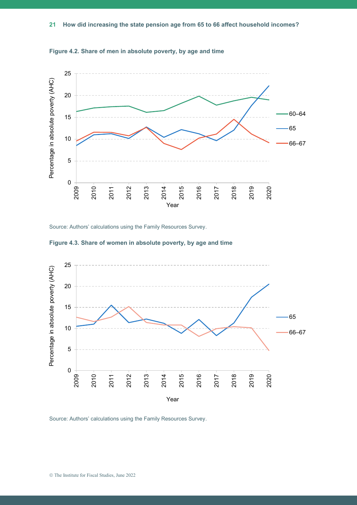

**Figure 4.2. Share of men in absolute poverty, by age and time**

Source: Authors' calculations using the Family Resources Survey.



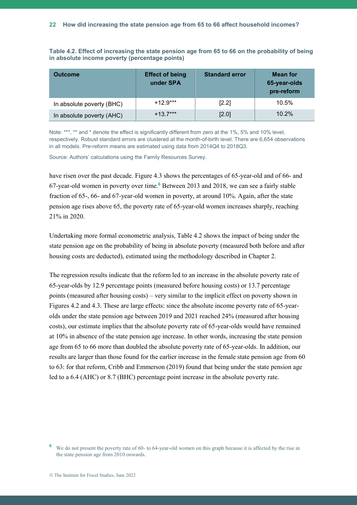**Table 4.2. Effect of increasing the state pension age from 65 to 66 on the probability of being in absolute income poverty (percentage points)**

| <b>Outcome</b>            | <b>Effect of being</b><br>under SPA | <b>Standard error</b> | <b>Mean for</b><br>65-year-olds<br>pre-reform |
|---------------------------|-------------------------------------|-----------------------|-----------------------------------------------|
| In absolute poverty (BHC) | $+12.9***$                          | $[2.2]$               | 10.5%                                         |
| In absolute poverty (AHC) | $+13.7***$                          | [2.0]                 | 10.2%                                         |

Note: \*\*\*, \*\* and \* denote the effect is significantly different from zero at the 1%, 5% and 10% level, respectively. Robust standard errors are clustered at the month-of-birth level. There are 6,654 observations in all models. Pre-reform means are estimated using data from 2014Q4 to 2018Q3.

Source: Authors' calculations using the Family Resources Survey.

have risen over the past decade. Figure 4.3 shows the percentages of 65-year-old and of 66- and 67-year-old women in poverty over time.**<sup>6</sup>** Between 2013 and 2018, we can see a fairly stable fraction of 65-, 66- and 67-year-old women in poverty, at around 10%. Again, after the state pension age rises above 65, the poverty rate of 65-year-old women increases sharply, reaching 21% in 2020.

Undertaking more formal econometric analysis, Table 4.2 shows the impact of being under the state pension age on the probability of being in absolute poverty (measured both before and after housing costs are deducted), estimated using the methodology described in Chapter 2.

The regression results indicate that the reform led to an increase in the absolute poverty rate of 65-year-olds by 12.9 percentage points (measured before housing costs) or 13.7 percentage points (measured after housing costs) – very similar to the implicit effect on poverty shown in Figures 4.2 and 4.3. These are large effects: since the absolute income poverty rate of 65-yearolds under the state pension age between 2019 and 2021 reached 24% (measured after housing costs), our estimate implies that the absolute poverty rate of 65-year-olds would have remained at 10% in absence of the state pension age increase. In other words, increasing the state pension age from 65 to 66 more than doubled the absolute poverty rate of 65-year-olds. In addition, our results are larger than those found for the earlier increase in the female state pension age from 60 to 63: for that reform, Cribb and Emmerson (2019) found that being under the state pension age led to a 6.4 (AHC) or 8.7 (BHC) percentage point increase in the absolute poverty rate.

**<sup>6</sup>** We do not present the poverty rate of 60- to 64-year-old women on this graph because it is affected by the rise in the state pension age from 2010 onwards.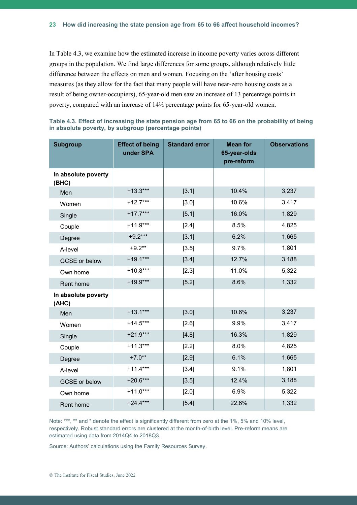In Table 4.3, we examine how the estimated increase in income poverty varies across different groups in the population. We find large differences for some groups, although relatively little difference between the effects on men and women. Focusing on the 'after housing costs' measures (as they allow for the fact that many people will have near-zero housing costs as a result of being owner-occupiers), 65-year-old men saw an increase of 13 percentage points in poverty, compared with an increase of 14½ percentage points for 65-year-old women.

| <b>Subgroup</b>              | <b>Effect of being</b><br>under SPA | <b>Standard error</b> | <b>Mean for</b><br>65-year-olds<br>pre-reform | <b>Observations</b> |
|------------------------------|-------------------------------------|-----------------------|-----------------------------------------------|---------------------|
| In absolute poverty<br>(BHC) |                                     |                       |                                               |                     |
| Men                          | $+13.3***$                          | [3.1]                 | 10.4%                                         | 3,237               |
| Women                        | $+12.7***$                          | [3.0]                 | 10.6%                                         | 3,417               |
| Single                       | $+17.7***$                          | [5.1]                 | 16.0%                                         | 1,829               |
| Couple                       | $+11.9***$                          | $[2.4]$               | 8.5%                                          | 4,825               |
| Degree                       | $+9.2***$                           | [3.1]                 | 6.2%                                          | 1,665               |
| A-level                      | $+9.2**$                            | [3.5]                 | 9.7%                                          | 1,801               |
| <b>GCSE</b> or below         | $+19.1***$                          | [3.4]                 | 12.7%                                         | 3,188               |
| Own home                     | $+10.8***$                          | [2.3]                 | 11.0%                                         | 5,322               |
| Rent home                    | $+19.9***$                          | [5.2]                 | 8.6%                                          | 1,332               |
| In absolute poverty<br>(AHC) |                                     |                       |                                               |                     |
| Men                          | $+13.1***$                          | [3.0]                 | 10.6%                                         | 3,237               |
| Women                        | $+14.5***$                          | [2.6]                 | 9.9%                                          | 3,417               |
| Single                       | $+21.9***$                          | [4.8]                 | 16.3%                                         | 1,829               |
| Couple                       | $+11.3***$                          | [2.2]                 | 8.0%                                          | 4,825               |
| Degree                       | $+7.0**$                            | [2.9]                 | 6.1%                                          | 1,665               |
| A-level                      | $+11.4***$                          | [3.4]                 | 9.1%                                          | 1,801               |
| GCSE or below                | $+20.6***$                          | [3.5]                 | 12.4%                                         | 3,188               |
| Own home                     | $+11.0***$                          | [2.0]                 | 6.9%                                          | 5,322               |
| Rent home                    | $+24.4***$                          | $[5.4]$               | 22.6%                                         | 1,332               |

|  | Table 4.3. Effect of increasing the state pension age from 65 to 66 on the probability of being |  |  |  |  |  |
|--|-------------------------------------------------------------------------------------------------|--|--|--|--|--|
|  | in absolute poverty, by subgroup (percentage points)                                            |  |  |  |  |  |

Note: \*\*\*, \*\* and \* denote the effect is significantly different from zero at the 1%, 5% and 10% level, respectively. Robust standard errors are clustered at the month-of-birth level. Pre-reform means are estimated using data from 2014Q4 to 2018Q3.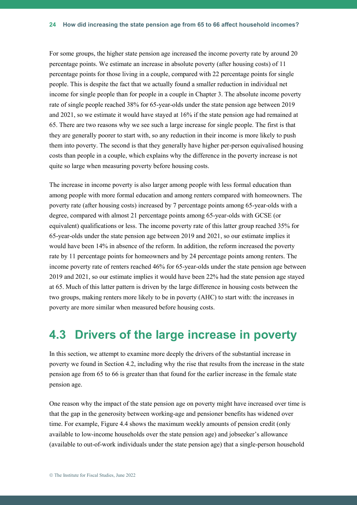For some groups, the higher state pension age increased the income poverty rate by around 20 percentage points. We estimate an increase in absolute poverty (after housing costs) of 11 percentage points for those living in a couple, compared with 22 percentage points for single people. This is despite the fact that we actually found a smaller reduction in individual net income for single people than for people in a couple in Chapter 3. The absolute income poverty rate of single people reached 38% for 65-year-olds under the state pension age between 2019 and 2021, so we estimate it would have stayed at 16% if the state pension age had remained at 65. There are two reasons why we see such a large increase for single people. The first is that they are generally poorer to start with, so any reduction in their income is more likely to push them into poverty. The second is that they generally have higher per-person equivalised housing costs than people in a couple, which explains why the difference in the poverty increase is not quite so large when measuring poverty before housing costs.

The increase in income poverty is also larger among people with less formal education than among people with more formal education and among renters compared with homeowners. The poverty rate (after housing costs) increased by 7 percentage points among 65-year-olds with a degree, compared with almost 21 percentage points among 65-year-olds with GCSE (or equivalent) qualifications or less. The income poverty rate of this latter group reached 35% for 65-year-olds under the state pension age between 2019 and 2021, so our estimate implies it would have been 14% in absence of the reform. In addition, the reform increased the poverty rate by 11 percentage points for homeowners and by 24 percentage points among renters. The income poverty rate of renters reached 46% for 65-year-olds under the state pension age between 2019 and 2021, so our estimate implies it would have been 22% had the state pension age stayed at 65. Much of this latter pattern is driven by the large difference in housing costs between the two groups, making renters more likely to be in poverty (AHC) to start with: the increases in poverty are more similar when measured before housing costs.

## **4.3 Drivers of the large increase in poverty**

In this section, we attempt to examine more deeply the drivers of the substantial increase in poverty we found in Section 4.2, including why the rise that results from the increase in the state pension age from 65 to 66 is greater than that found for the earlier increase in the female state pension age.

One reason why the impact of the state pension age on poverty might have increased over time is that the gap in the generosity between working-age and pensioner benefits has widened over time. For example, Figure 4.4 shows the maximum weekly amounts of pension credit (only available to low-income households over the state pension age) and jobseeker's allowance (available to out-of-work individuals under the state pension age) that a single-person household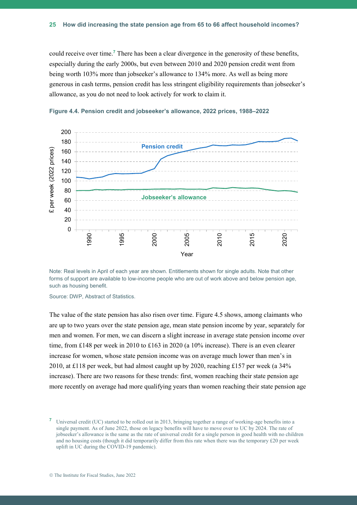could receive over time.**<sup>7</sup>** There has been a clear divergence in the generosity of these benefits, especially during the early 2000s, but even between 2010 and 2020 pension credit went from being worth 103% more than jobseeker's allowance to 134% more. As well as being more generous in cash terms, pension credit has less stringent eligibility requirements than jobseeker's allowance, as you do not need to look actively for work to claim it.





Note: Real levels in April of each year are shown. Entitlements shown for single adults. Note that other forms of support are available to low-income people who are out of work above and below pension age, such as housing benefit.

Source: DWP, Abstract of Statistics.

The value of the state pension has also risen over time. Figure 4.5 shows, among claimants who are up to two years over the state pension age, mean state pension income by year, separately for men and women. For men, we can discern a slight increase in average state pension income over time, from £148 per week in 2010 to £163 in 2020 (a 10% increase). There is an even clearer increase for women, whose state pension income was on average much lower than men's in 2010, at £118 per week, but had almost caught up by 2020, reaching £157 per week (a 34% increase). There are two reasons for these trends: first, women reaching their state pension age more recently on average had more qualifying years than women reaching their state pension age

**<sup>7</sup>** Universal credit (UC) started to be rolled out in 2013, bringing together a range of working-age benefits into a single payment. As of June 2022, those on legacy benefits will have to move over to UC by 2024. The rate of jobseeker's allowance is the same as the rate of universal credit for a single person in good health with no children and no housing costs (though it did temporarily differ from this rate when there was the temporary £20 per week uplift in UC during the COVID-19 pandemic).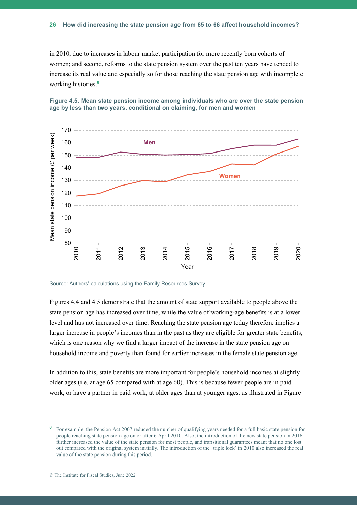in 2010, due to increases in labour market participation for more recently born cohorts of women; and second, reforms to the state pension system over the past ten years have tended to increase its real value and especially so for those reaching the state pension age with incomplete working histories. **8**





Source: Authors' calculations using the Family Resources Survey.

Figures 4.4 and 4.5 demonstrate that the amount of state support available to people above the state pension age has increased over time, while the value of working-age benefits is at a lower level and has not increased over time. Reaching the state pension age today therefore implies a larger increase in people's incomes than in the past as they are eligible for greater state benefits, which is one reason why we find a larger impact of the increase in the state pension age on household income and poverty than found for earlier increases in the female state pension age.

In addition to this, state benefits are more important for people's household incomes at slightly older ages (i.e. at age 65 compared with at age 60). This is because fewer people are in paid work, or have a partner in paid work, at older ages than at younger ages, as illustrated in Figure

**<sup>8</sup>** For example, the Pension Act 2007 reduced the number of qualifying years needed for a full basic state pension for people reaching state pension age on or after 6 April 2010. Also, the introduction of the new state pension in 2016 further increased the value of the state pension for most people, and transitional guarantees meant that no one lost out compared with the original system initially. The introduction of the 'triple lock' in 2010 also increased the real value of the state pension during this period.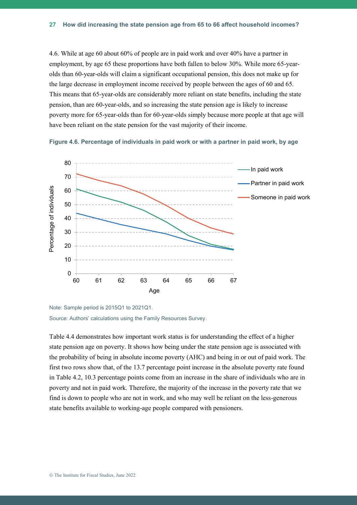4.6. While at age 60 about 60% of people are in paid work and over 40% have a partner in employment, by age 65 these proportions have both fallen to below 30%. While more 65-yearolds than 60-year-olds will claim a significant occupational pension, this does not make up for the large decrease in employment income received by people between the ages of 60 and 65. This means that 65-year-olds are considerably more reliant on state benefits, including the state pension, than are 60-year-olds, and so increasing the state pension age is likely to increase poverty more for 65-year-olds than for 60-year-olds simply because more people at that age will have been reliant on the state pension for the vast majority of their income.





Note: Sample period is 2015Q1 to 2021Q1. Source: Authors' calculations using the Family Resources Survey.

Table 4.4 demonstrates how important work status is for understanding the effect of a higher state pension age on poverty. It shows how being under the state pension age is associated with the probability of being in absolute income poverty (AHC) and being in or out of paid work. The first two rows show that, of the 13.7 percentage point increase in the absolute poverty rate found in Table 4.2, 10.3 percentage points come from an increase in the share of individuals who are in poverty and not in paid work. Therefore, the majority of the increase in the poverty rate that we find is down to people who are not in work, and who may well be reliant on the less-generous state benefits available to working-age people compared with pensioners.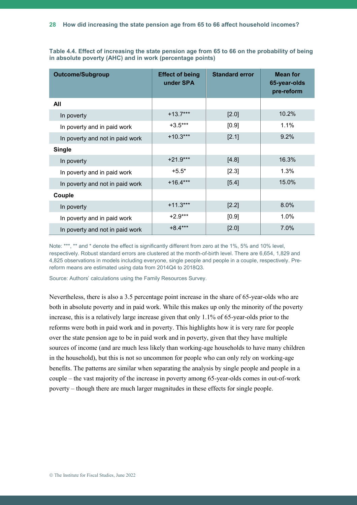| <b>Outcome/Subgroup</b>         | <b>Effect of being</b><br>under SPA | <b>Standard error</b> | <b>Mean for</b><br>65-year-olds<br>pre-reform |
|---------------------------------|-------------------------------------|-----------------------|-----------------------------------------------|
| All                             |                                     |                       |                                               |
| In poverty                      | $+13.7***$                          | [2.0]                 | 10.2%                                         |
| In poverty and in paid work     | $+3.5***$                           | [0.9]                 | 1.1%                                          |
| In poverty and not in paid work | $+10.3***$                          | [2.1]                 | 9.2%                                          |
| <b>Single</b>                   |                                     |                       |                                               |
| In poverty                      | $+21.9***$                          | [4.8]                 | 16.3%                                         |
| In poverty and in paid work     | $+5.5*$                             | $[2.3]$               | 1.3%                                          |
| In poverty and not in paid work | $+16.4***$                          | [5.4]                 | 15.0%                                         |
| Couple                          |                                     |                       |                                               |
| In poverty                      | $+11.3***$                          | $[2.2]$               | 8.0%                                          |
| In poverty and in paid work     | $+2.9***$                           | [0.9]                 | 1.0%                                          |
| In poverty and not in paid work | $+8.4***$                           | $[2.0]$               | 7.0%                                          |

**Table 4.4. Effect of increasing the state pension age from 65 to 66 on the probability of being in absolute poverty (AHC) and in work (percentage points)**

Note: \*\*\*, \*\* and \* denote the effect is significantly different from zero at the 1%, 5% and 10% level, respectively. Robust standard errors are clustered at the month-of-birth level. There are 6,654, 1,829 and 4,825 observations in models including everyone, single people and people in a couple, respectively. Prereform means are estimated using data from 2014Q4 to 2018Q3.

Source: Authors' calculations using the Family Resources Survey.

Nevertheless, there is also a 3.5 percentage point increase in the share of 65-year-olds who are both in absolute poverty and in paid work. While this makes up only the minority of the poverty increase, this is a relatively large increase given that only 1.1% of 65-year-olds prior to the reforms were both in paid work and in poverty. This highlights how it is very rare for people over the state pension age to be in paid work and in poverty, given that they have multiple sources of income (and are much less likely than working-age households to have many children in the household), but this is not so uncommon for people who can only rely on working-age benefits. The patterns are similar when separating the analysis by single people and people in a couple – the vast majority of the increase in poverty among 65-year-olds comes in out-of-work poverty – though there are much larger magnitudes in these effects for single people.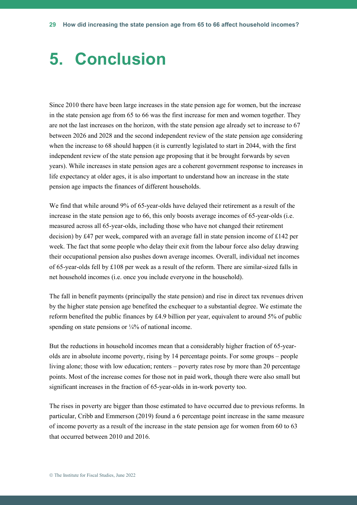# **5. Conclusion**

Since 2010 there have been large increases in the state pension age for women, but the increase in the state pension age from 65 to 66 was the first increase for men and women together. They are not the last increases on the horizon, with the state pension age already set to increase to 67 between 2026 and 2028 and the second independent review of the state pension age considering when the increase to 68 should happen (it is currently legislated to start in 2044, with the first independent review of the state pension age proposing that it be brought forwards by seven years). While increases in state pension ages are a coherent government response to increases in life expectancy at older ages, it is also important to understand how an increase in the state pension age impacts the finances of different households.

We find that while around 9% of 65-year-olds have delayed their retirement as a result of the increase in the state pension age to 66, this only boosts average incomes of 65-year-olds (i.e. measured across all 65-year-olds, including those who have not changed their retirement decision) by £47 per week, compared with an average fall in state pension income of £142 per week. The fact that some people who delay their exit from the labour force also delay drawing their occupational pension also pushes down average incomes. Overall, individual net incomes of 65-year-olds fell by £108 per week as a result of the reform. There are similar-sized falls in net household incomes (i.e. once you include everyone in the household).

The fall in benefit payments (principally the state pension) and rise in direct tax revenues driven by the higher state pension age benefited the exchequer to a substantial degree. We estimate the reform benefited the public finances by £4.9 billion per year, equivalent to around 5% of public spending on state pensions or  $\frac{1}{4}\%$  of national income.

But the reductions in household incomes mean that a considerably higher fraction of 65-yearolds are in absolute income poverty, rising by 14 percentage points. For some groups – people living alone; those with low education; renters – poverty rates rose by more than 20 percentage points. Most of the increase comes for those not in paid work, though there were also small but significant increases in the fraction of 65-year-olds in in-work poverty too.

The rises in poverty are bigger than those estimated to have occurred due to previous reforms. In particular, Cribb and Emmerson (2019) found a 6 percentage point increase in the same measure of income poverty as a result of the increase in the state pension age for women from 60 to 63 that occurred between 2010 and 2016.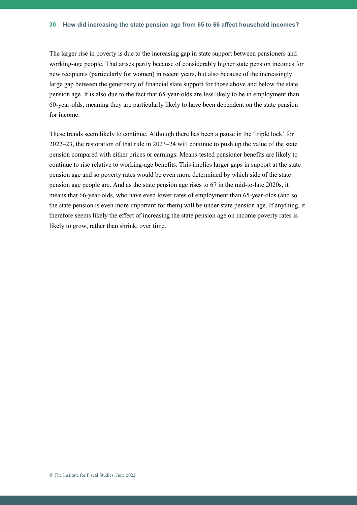The larger rise in poverty is due to the increasing gap in state support between pensioners and working-age people. That arises partly because of considerably higher state pension incomes for new recipients (particularly for women) in recent years, but also because of the increasingly large gap between the generosity of financial state support for those above and below the state pension age. It is also due to the fact that 65-year-olds are less likely to be in employment than 60-year-olds, meaning they are particularly likely to have been dependent on the state pension for income.

These trends seem likely to continue. Although there has been a pause in the 'triple lock' for 2022–23, the restoration of that rule in 2023–24 will continue to push up the value of the state pension compared with either prices or earnings. Means-tested pensioner benefits are likely to continue to rise relative to working-age benefits. This implies larger gaps in support at the state pension age and so poverty rates would be even more determined by which side of the state pension age people are. And as the state pension age rises to 67 in the mid-to-late 2020s, it means that 66-year-olds, who have even lower rates of employment than 65-year-olds (and so the state pension is even more important for them) will be under state pension age. If anything, it therefore seems likely the effect of increasing the state pension age on income poverty rates is likely to grow, rather than shrink, over time.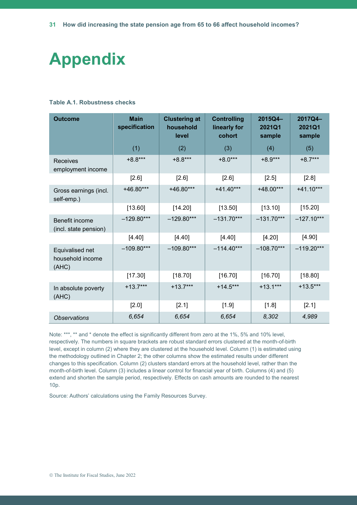# **Appendix**

#### **Table A.1. Robustness checks**

| <b>Outcome</b>                               | <b>Main</b><br>specification | <b>Clustering at</b><br>household<br>level | <b>Controlling</b><br>linearly for<br>cohort | 2015Q4-<br>2021Q1<br>sample | 2017Q4-<br>2021Q1<br>sample |
|----------------------------------------------|------------------------------|--------------------------------------------|----------------------------------------------|-----------------------------|-----------------------------|
|                                              | (1)                          | (2)                                        | (3)                                          | (4)                         | (5)                         |
| Receives<br>employment income                | $+8.8***$                    | $+8.8***$                                  | $+8.0***$                                    | $+8.9***$                   | $+8.7***$                   |
|                                              | $[2.6]$                      | $[2.6]$                                    | [2.6]                                        | [2.5]                       | [2.8]                       |
| Gross earnings (incl.<br>self-emp.)          | +46.80***                    | $+46.80***$                                | $+41.40***$                                  | $+48.00***$                 | $+41.10***$                 |
|                                              | [13.60]                      | [14.20]                                    | [13.50]                                      | [13.10]                     | [15.20]                     |
| Benefit income<br>(incl. state pension)      | $-129.80***$                 | $-129.80***$                               | $-131.70***$                                 | $-131.70***$                | $-127.10***$                |
|                                              | [4.40]                       | [4.40]                                     | [4.40]                                       | [4.20]                      | [4.90]                      |
| Equivalised net<br>household income<br>(AHC) | $-109.80***$                 | $-109.80***$                               | $-114.40***$                                 | $-108.70***$                | $-119.20***$                |
|                                              | [17.30]                      | [18.70]                                    | [16.70]                                      | [16.70]                     | [18.80]                     |
| In absolute poverty<br>(AHC)                 | $+13.7***$                   | $+13.7***$                                 | $+14.5***$                                   | $+13.1***$                  | $+13.5***$                  |
|                                              | $[2.0]$                      | [2.1]                                      | [1.9]                                        | [1.8]                       | [2.1]                       |
| <b>Observations</b>                          | 6,654                        | 6,654                                      | 6,654                                        | 8,302                       | 4,989                       |

Note: \*\*\*, \*\* and \* denote the effect is significantly different from zero at the 1%, 5% and 10% level, respectively. The numbers in square brackets are robust standard errors clustered at the month-of-birth level, except in column (2) where they are clustered at the household level. Column (1) is estimated using the methodology outlined in Chapter 2; the other columns show the estimated results under different changes to this specification. Column (2) clusters standard errors at the household level, rather than the month-of-birth level. Column (3) includes a linear control for financial year of birth. Columns (4) and (5) extend and shorten the sample period, respectively. Effects on cash amounts are rounded to the nearest 10p.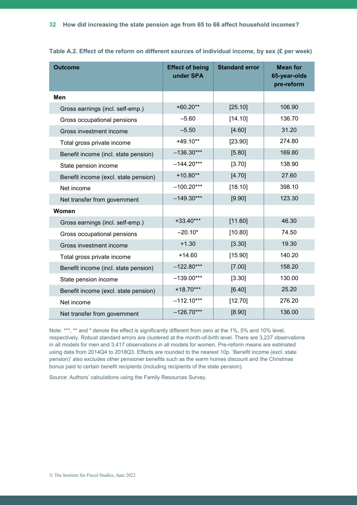| <b>Outcome</b>                       | <b>Effect of being</b><br>under SPA | <b>Standard error</b> | <b>Mean for</b><br>65-year-olds<br>pre-reform |
|--------------------------------------|-------------------------------------|-----------------------|-----------------------------------------------|
| Men                                  |                                     |                       |                                               |
| Gross earnings (incl. self-emp.)     | $+60.20**$                          | [25.10]               | 106.90                                        |
| Gross occupational pensions          | $-5.60$                             | [14.10]               | 136.70                                        |
| Gross investment income              | $-5.50$                             | [4.60]                | 31.20                                         |
| Total gross private income           | $+49.10**$                          | [23.90]               | 274.80                                        |
| Benefit income (incl. state pension) | $-136.30***$                        | [5.80]                | 169.80                                        |
| State pension income                 | $-144.20***$                        | [3.70]                | 138.90                                        |
| Benefit income (excl. state pension) | $+10.80**$                          | [4.70]                | 27.60                                         |
| Net income                           | $-100.20***$                        | [18.10]               | 398.10                                        |
| Net transfer from government         | $-149.30***$                        | [9.90]                | 123.30                                        |
| Women                                |                                     |                       |                                               |
| Gross earnings (incl. self-emp.)     | $+33.40***$                         | [11.60]               | 46.30                                         |
| Gross occupational pensions          | $-20.10*$                           | [10.80]               | 74.50                                         |
| Gross investment income              | $+1.30$                             | [3.30]                | 19.30                                         |
| Total gross private income           | $+14.60$                            | [15.90]               | 140.20                                        |
| Benefit income (incl. state pension) | $-122.80***$                        | [7.00]                | 158.20                                        |
| State pension income                 | $-139.00***$                        | [3.30]                | 130.00                                        |
| Benefit income (excl. state pension) | $+18.70***$                         | [6.40]                | 25.20                                         |
| Net income                           | $-112.10***$                        | [12.70]               | 276.20                                        |
| Net transfer from government         | $-126.70***$                        | [8.90]                | 136.00                                        |

**Table A.2. Effect of the reform on different sources of individual income, by sex (£ per week)**

Note: \*\*\*, \*\* and \* denote the effect is significantly different from zero at the 1%, 5% and 10% level, respectively. Robust standard errors are clustered at the month-of-birth level. There are 3,237 observations in all models for men and 3,417 observations in all models for women. Pre-reform means are estimated using data from 2014Q4 to 2018Q3. Effects are rounded to the nearest 10p. 'Benefit income (excl. state pension)' also excludes other pensioner benefits such as the warm homes discount and the Christmas bonus paid to certain benefit recipients (including recipients of the state pension).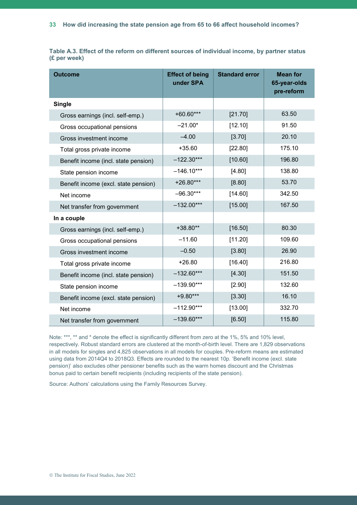|              |  |  |  |  | Table A.3. Effect of the reform on different sources of individual income, by partner status |  |  |
|--------------|--|--|--|--|----------------------------------------------------------------------------------------------|--|--|
| (£ per week) |  |  |  |  |                                                                                              |  |  |

| <b>Outcome</b>                       | <b>Effect of being</b><br>under SPA | <b>Standard error</b> | <b>Mean for</b><br>65-year-olds<br>pre-reform |
|--------------------------------------|-------------------------------------|-----------------------|-----------------------------------------------|
| <b>Single</b>                        |                                     |                       |                                               |
| Gross earnings (incl. self-emp.)     | $+60.60***$                         | [21.70]               | 63.50                                         |
| Gross occupational pensions          | $-21.00*$                           | [12.10]               | 91.50                                         |
| Gross investment income              | $-4.00$                             | [3.70]                | 20.10                                         |
| Total gross private income           | $+35.60$                            | [22.80]               | 175.10                                        |
| Benefit income (incl. state pension) | $-122.30***$                        | [10.60]               | 196.80                                        |
| State pension income                 | $-146.10***$                        | [4.80]                | 138.80                                        |
| Benefit income (excl. state pension) | $+26.80***$                         | [8.80]                | 53.70                                         |
| Net income                           | $-96.30***$                         | [14.60]               | 342.50                                        |
| Net transfer from government         | $-132.00***$                        | [15.00]               | 167.50                                        |
| In a couple                          |                                     |                       |                                               |
| Gross earnings (incl. self-emp.)     | $+38.80**$                          | [16.50]               | 80.30                                         |
| Gross occupational pensions          | $-11.60$                            | [11.20]               | 109.60                                        |
| Gross investment income              | $-0.50$                             | [3.80]                | 26.90                                         |
| Total gross private income           | $+26.80$                            | [16.40]               | 216.80                                        |
| Benefit income (incl. state pension) | $-132.60***$                        | [4.30]                | 151.50                                        |
| State pension income                 | $-139.90***$                        | [2.90]                | 132.60                                        |
| Benefit income (excl. state pension) | $+9.80***$                          | [3.30]                | 16.10                                         |
| Net income                           | $-112.90***$                        | [13.00]               | 332.70                                        |
| Net transfer from government         | $-139.60***$                        | [6.50]                | 115.80                                        |

Note: \*\*\*, \*\* and \* denote the effect is significantly different from zero at the 1%, 5% and 10% level, respectively. Robust standard errors are clustered at the month-of-birth level. There are 1,829 observations in all models for singles and 4,825 observations in all models for couples. Pre-reform means are estimated using data from 2014Q4 to 2018Q3. Effects are rounded to the nearest 10p. 'Benefit income (excl. state pension)' also excludes other pensioner benefits such as the warm homes discount and the Christmas bonus paid to certain benefit recipients (including recipients of the state pension).